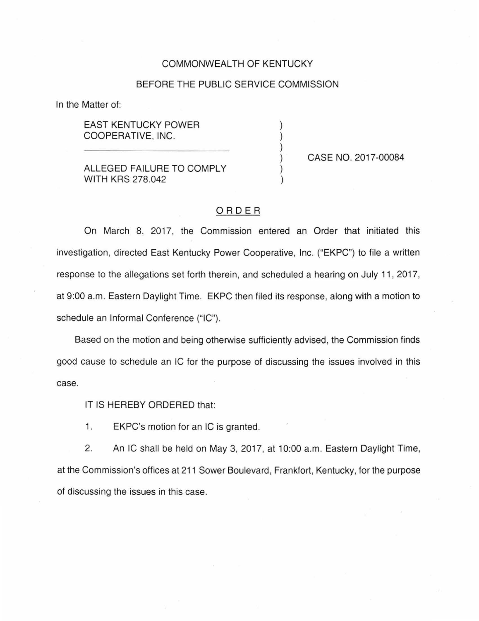## COMMONWEALTH OF KENTUCKY

## BEFORE THE PUBLIC SERVICE COMMISSION

) ) ) ) ) )

In the Matter of:

EAST KENTUCKY POWER COOPERATIVE, INC.

ALLEGED FAILURE TO COMPLY WITH KRS 278.042

CASE NO. 2017-00084

## ORDER

On March 8, 2017, the Commission entered an Order that initiated this investigation, directed East Kentucky Power Cooperative, Inc. ("EKPC") to file a written response to the allegations set forth therein, and scheduled a hearing on July 11 , 2017, at 9:00 a.m. Eastern Daylight Time. EKPC then filed its response, along with a motion to schedule an Informal Conference ("IC").

Based on the motion and being otherwise sufficiently advised, the Commission finds good cause to schedule an IC for the purpose of discussing the issues involved in this case.

IT IS HEREBY ORDERED that:

1. EKPC's motion for an IC is granted.

2. An IC shall be held on May 3, 2017, at 10:00 a.m. Eastern Daylight Time, at the Commission's offices at 211 Sower Boulevard, Frankfort, Kentucky, for the purpose of discussing the issues in this case.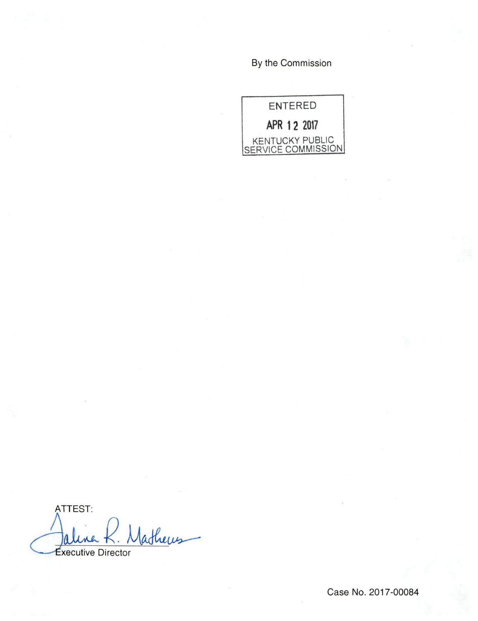By the Commission

ENTERED APR 12 2017 KENTUCKY PUBLIC SERVICE COMMISSION

ATTEST: Jathews  $\overline{M}$ Executive Director